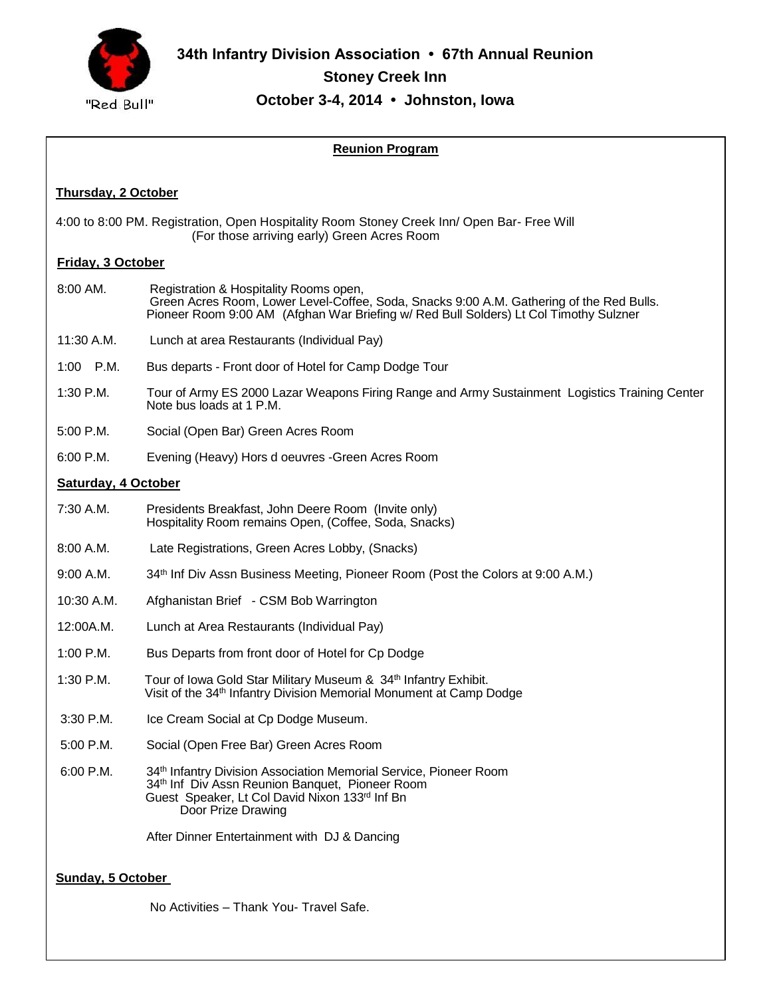

# **Reunion Program**

## **Thursday, 2 October**

 $\parallel$ 

4:00 to 8:00 PM. Registration, Open Hospitality Room Stoney Creek Inn/ Open Bar- Free Will (For those arriving early) Green Acres Room

### **Friday, 3 October**

- 8:00 AM. Registration & Hospitality Rooms open, Green Acres Room, Lower Level-Coffee, Soda, Snacks 9:00 A.M. Gathering of the Red Bulls. Pioneer Room 9:00 AM (Afghan War Briefing w/ Red Bull Solders) Lt Col Timothy Sulzner
- 11:30 A.M. Lunch at area Restaurants (Individual Pay)
- 1:00 P.M. Bus departs Front door of Hotel for Camp Dodge Tour
- 1:30 P.M. Tour of Army ES 2000 Lazar Weapons Firing Range and Army Sustainment Logistics Training Center Note bus loads at 1 P.M.
- 5:00 P.M. Social (Open Bar) Green Acres Room
- 6:00 P.M. Evening (Heavy) Hors d oeuvres -Green Acres Room

#### **Saturday, 4 October**

- 7:30 A.M. Presidents Breakfast, John Deere Room (Invite only) Hospitality Room remains Open, (Coffee, Soda, Snacks)
- 8:00 A.M. Late Registrations, Green Acres Lobby, (Snacks)
- 9:00 A.M. 34<sup>th</sup> Inf Div Assn Business Meeting, Pioneer Room (Post the Colors at 9:00 A.M.)
- 10:30 A.M. Afghanistan Brief CSM Bob Warrington
- 12:00A.M. Lunch at Area Restaurants (Individual Pay)
- 1:00 P.M. Bus Departs from front door of Hotel for Cp Dodge
- 1:30 P.M. Tour of Iowa Gold Star Military Museum & 34<sup>th</sup> Infantry Exhibit. Visit of the 34th Infantry Division Memorial Monument at Camp Dodge
- 3:30 P.M. Ice Cream Social at Cp Dodge Museum.
- 5:00 P.M. Social (Open Free Bar) Green Acres Room
- 6:00 P.M. 34th Infantry Division Association Memorial Service, Pioneer Room 34th Inf Div Assn Reunion Banquet, Pioneer Room Guest Speaker, Lt Col David Nixon 133rd Inf Bn Door Prize Drawing

After Dinner Entertainment with DJ & Dancing

### **Sunday, 5 October**

No Activities – Thank You- Travel Safe.